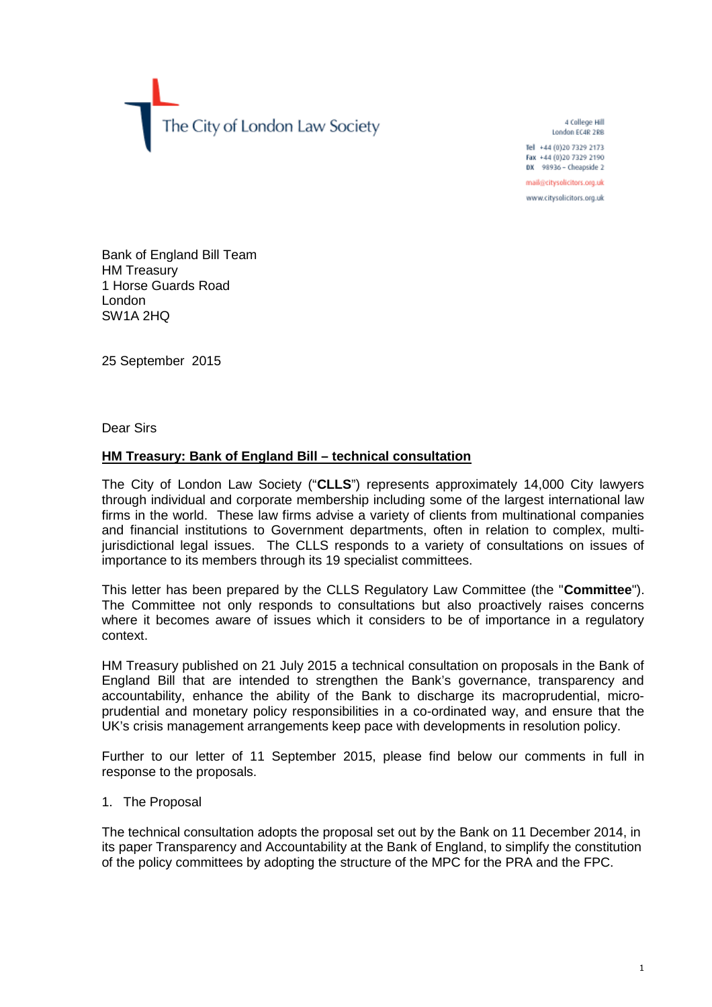The City of London Law Society

4 College Hill London EC4R 2RB

Tel +44 (0)20 7329 2173 Fax +44 (0)20 7329 2190 DX 98936 - Cheapside 2

mail@citysolicitors.org.uk

www.citysolicitors.org.uk

Bank of England Bill Team HM Treasury 1 Horse Guards Road London SW1A 2HQ

25 September 2015

Dear Sirs

# **HM Treasury: Bank of England Bill – technical consultation**

The City of London Law Society ("**CLLS**") represents approximately 14,000 City lawyers through individual and corporate membership including some of the largest international law firms in the world. These law firms advise a variety of clients from multinational companies and financial institutions to Government departments, often in relation to complex, multijurisdictional legal issues. The CLLS responds to a variety of consultations on issues of importance to its members through its 19 specialist committees.

This letter has been prepared by the CLLS Regulatory Law Committee (the "**Committee**"). The Committee not only responds to consultations but also proactively raises concerns where it becomes aware of issues which it considers to be of importance in a regulatory context.

HM Treasury published on 21 July 2015 a technical consultation on proposals in the Bank of England Bill that are intended to strengthen the Bank's governance, transparency and accountability, enhance the ability of the Bank to discharge its macroprudential, microprudential and monetary policy responsibilities in a co-ordinated way, and ensure that the UK's crisis management arrangements keep pace with developments in resolution policy.

Further to our letter of 11 September 2015, please find below our comments in full in response to the proposals.

1. The Proposal

The technical consultation adopts the proposal set out by the Bank on 11 December 2014, in its paper Transparency and Accountability at the Bank of England, to simplify the constitution of the policy committees by adopting the structure of the MPC for the PRA and the FPC.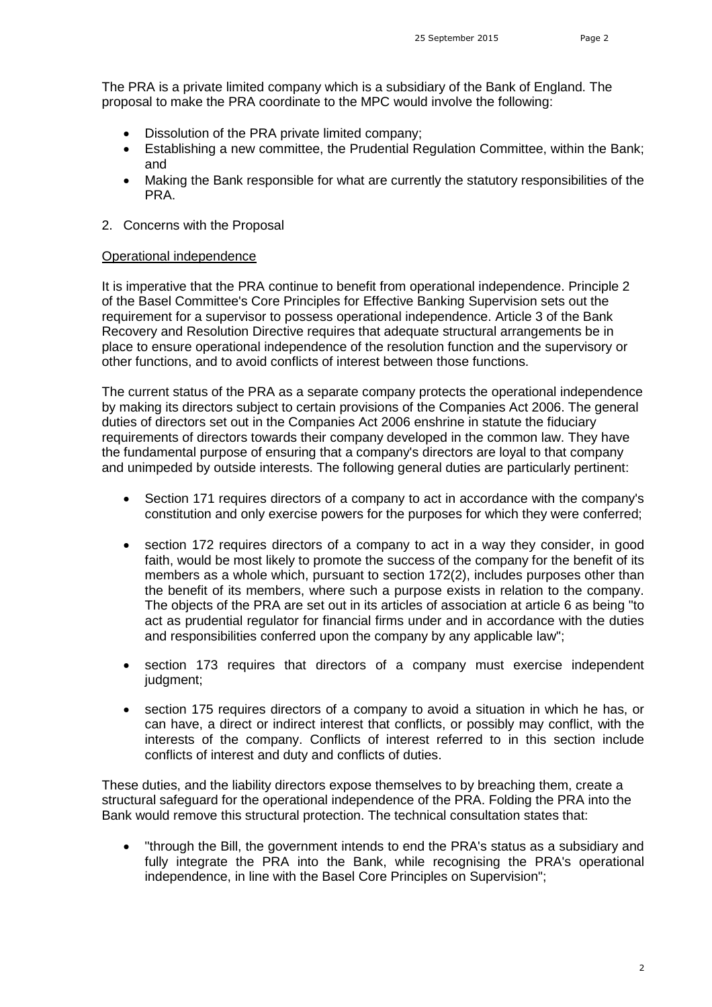The PRA is a private limited company which is a subsidiary of the Bank of England. The proposal to make the PRA coordinate to the MPC would involve the following:

- Dissolution of the PRA private limited company;
- Establishing a new committee, the Prudential Regulation Committee, within the Bank; and
- Making the Bank responsible for what are currently the statutory responsibilities of the PRA.
- 2. Concerns with the Proposal

## Operational independence

It is imperative that the PRA continue to benefit from operational independence. Principle 2 of the Basel Committee's Core Principles for Effective Banking Supervision sets out the requirement for a supervisor to possess operational independence. Article 3 of the Bank Recovery and Resolution Directive requires that adequate structural arrangements be in place to ensure operational independence of the resolution function and the supervisory or other functions, and to avoid conflicts of interest between those functions.

The current status of the PRA as a separate company protects the operational independence by making its directors subject to certain provisions of the Companies Act 2006. The general duties of directors set out in the Companies Act 2006 enshrine in statute the fiduciary requirements of directors towards their company developed in the common law. They have the fundamental purpose of ensuring that a company's directors are loyal to that company and unimpeded by outside interests. The following general duties are particularly pertinent:

- Section 171 requires directors of a company to act in accordance with the company's constitution and only exercise powers for the purposes for which they were conferred;
- section 172 requires directors of a company to act in a way they consider, in good faith, would be most likely to promote the success of the company for the benefit of its members as a whole which, pursuant to section 172(2), includes purposes other than the benefit of its members, where such a purpose exists in relation to the company. The objects of the PRA are set out in its articles of association at article 6 as being "to act as prudential regulator for financial firms under and in accordance with the duties and responsibilities conferred upon the company by any applicable law";
- section 173 requires that directors of a company must exercise independent judgment;
- section 175 requires directors of a company to avoid a situation in which he has, or can have, a direct or indirect interest that conflicts, or possibly may conflict, with the interests of the company. Conflicts of interest referred to in this section include conflicts of interest and duty and conflicts of duties.

These duties, and the liability directors expose themselves to by breaching them, create a structural safeguard for the operational independence of the PRA. Folding the PRA into the Bank would remove this structural protection. The technical consultation states that:

 "through the Bill, the government intends to end the PRA's status as a subsidiary and fully integrate the PRA into the Bank, while recognising the PRA's operational independence, in line with the Basel Core Principles on Supervision";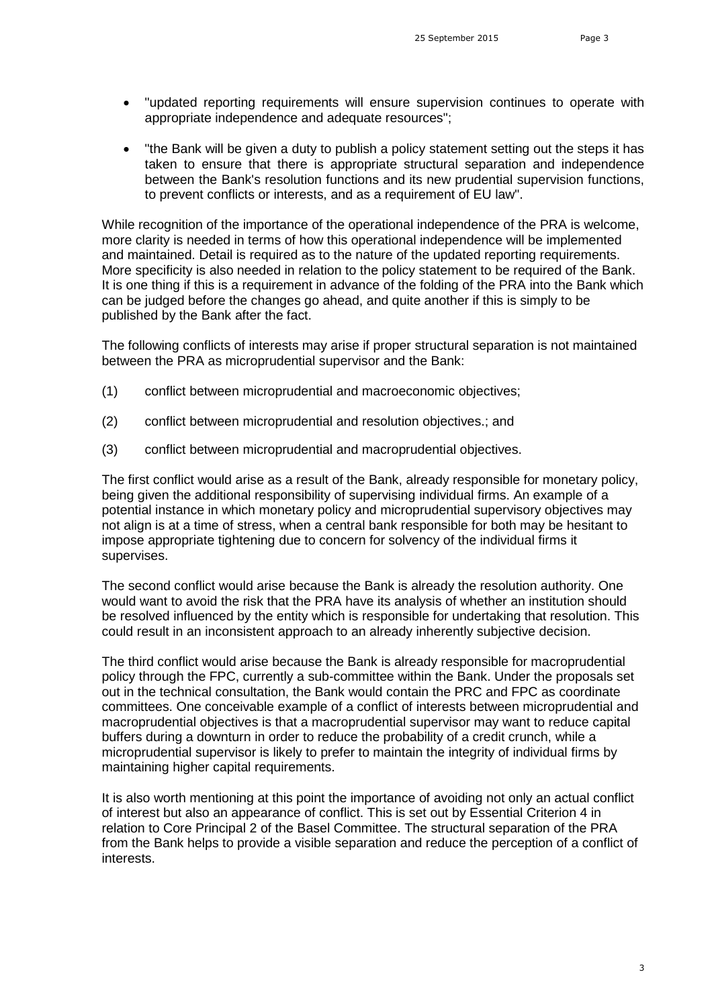- "updated reporting requirements will ensure supervision continues to operate with appropriate independence and adequate resources";
- "the Bank will be given a duty to publish a policy statement setting out the steps it has taken to ensure that there is appropriate structural separation and independence between the Bank's resolution functions and its new prudential supervision functions, to prevent conflicts or interests, and as a requirement of EU law".

While recognition of the importance of the operational independence of the PRA is welcome, more clarity is needed in terms of how this operational independence will be implemented and maintained. Detail is required as to the nature of the updated reporting requirements. More specificity is also needed in relation to the policy statement to be required of the Bank. It is one thing if this is a requirement in advance of the folding of the PRA into the Bank which can be judged before the changes go ahead, and quite another if this is simply to be published by the Bank after the fact.

The following conflicts of interests may arise if proper structural separation is not maintained between the PRA as microprudential supervisor and the Bank:

- (1) conflict between microprudential and macroeconomic objectives;
- (2) conflict between microprudential and resolution objectives.; and
- (3) conflict between microprudential and macroprudential objectives.

The first conflict would arise as a result of the Bank, already responsible for monetary policy, being given the additional responsibility of supervising individual firms. An example of a potential instance in which monetary policy and microprudential supervisory objectives may not align is at a time of stress, when a central bank responsible for both may be hesitant to impose appropriate tightening due to concern for solvency of the individual firms it supervises.

The second conflict would arise because the Bank is already the resolution authority. One would want to avoid the risk that the PRA have its analysis of whether an institution should be resolved influenced by the entity which is responsible for undertaking that resolution. This could result in an inconsistent approach to an already inherently subjective decision.

The third conflict would arise because the Bank is already responsible for macroprudential policy through the FPC, currently a sub-committee within the Bank. Under the proposals set out in the technical consultation, the Bank would contain the PRC and FPC as coordinate committees. One conceivable example of a conflict of interests between microprudential and macroprudential objectives is that a macroprudential supervisor may want to reduce capital buffers during a downturn in order to reduce the probability of a credit crunch, while a microprudential supervisor is likely to prefer to maintain the integrity of individual firms by maintaining higher capital requirements.

It is also worth mentioning at this point the importance of avoiding not only an actual conflict of interest but also an appearance of conflict. This is set out by Essential Criterion 4 in relation to Core Principal 2 of the Basel Committee. The structural separation of the PRA from the Bank helps to provide a visible separation and reduce the perception of a conflict of interests.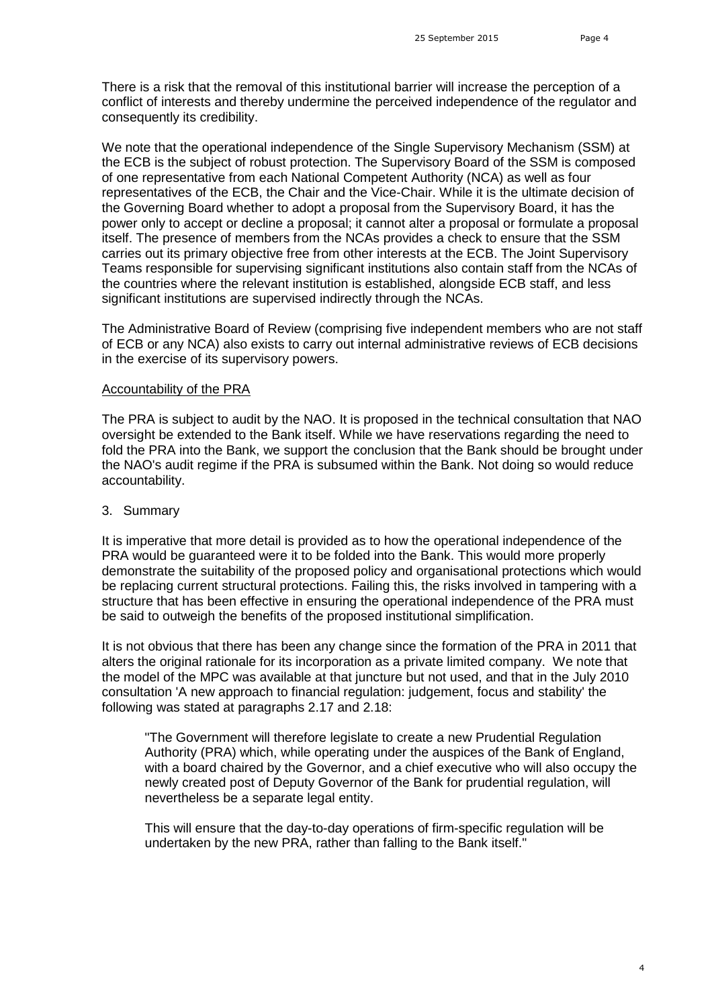There is a risk that the removal of this institutional barrier will increase the perception of a conflict of interests and thereby undermine the perceived independence of the regulator and consequently its credibility.

We note that the operational independence of the Single Supervisory Mechanism (SSM) at the ECB is the subject of robust protection. The Supervisory Board of the SSM is composed of one representative from each National Competent Authority (NCA) as well as four representatives of the ECB, the Chair and the Vice-Chair. While it is the ultimate decision of the Governing Board whether to adopt a proposal from the Supervisory Board, it has the power only to accept or decline a proposal; it cannot alter a proposal or formulate a proposal itself. The presence of members from the NCAs provides a check to ensure that the SSM carries out its primary objective free from other interests at the ECB. The Joint Supervisory Teams responsible for supervising significant institutions also contain staff from the NCAs of the countries where the relevant institution is established, alongside ECB staff, and less significant institutions are supervised indirectly through the NCAs.

The Administrative Board of Review (comprising five independent members who are not staff of ECB or any NCA) also exists to carry out internal administrative reviews of ECB decisions in the exercise of its supervisory powers.

### Accountability of the PRA

The PRA is subject to audit by the NAO. It is proposed in the technical consultation that NAO oversight be extended to the Bank itself. While we have reservations regarding the need to fold the PRA into the Bank, we support the conclusion that the Bank should be brought under the NAO's audit regime if the PRA is subsumed within the Bank. Not doing so would reduce accountability.

#### 3. Summary

It is imperative that more detail is provided as to how the operational independence of the PRA would be guaranteed were it to be folded into the Bank. This would more properly demonstrate the suitability of the proposed policy and organisational protections which would be replacing current structural protections. Failing this, the risks involved in tampering with a structure that has been effective in ensuring the operational independence of the PRA must be said to outweigh the benefits of the proposed institutional simplification.

It is not obvious that there has been any change since the formation of the PRA in 2011 that alters the original rationale for its incorporation as a private limited company. We note that the model of the MPC was available at that juncture but not used, and that in the July 2010 consultation 'A new approach to financial regulation: judgement, focus and stability' the following was stated at paragraphs 2.17 and 2.18:

"The Government will therefore legislate to create a new Prudential Regulation Authority (PRA) which, while operating under the auspices of the Bank of England, with a board chaired by the Governor, and a chief executive who will also occupy the newly created post of Deputy Governor of the Bank for prudential regulation, will nevertheless be a separate legal entity.

This will ensure that the day-to-day operations of firm-specific regulation will be undertaken by the new PRA, rather than falling to the Bank itself."